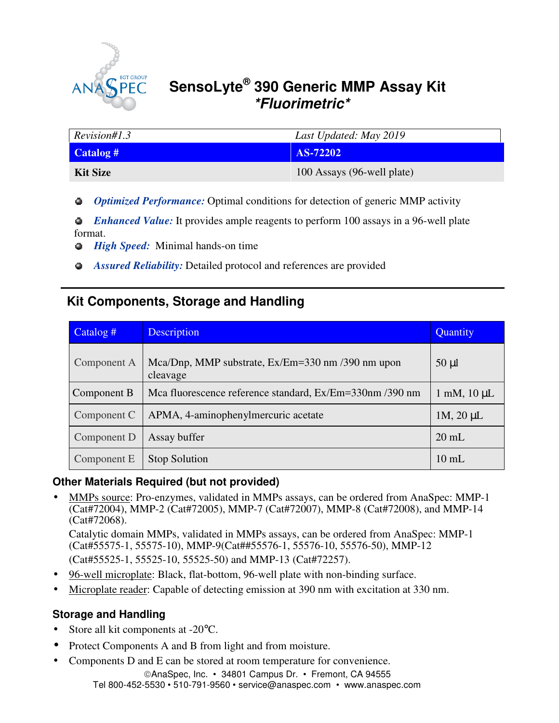

# **SensoLyte® 390 Generic MMP Assay Kit \*Fluorimetric\***

| Revision#1.3    | Last Updated: May 2019     |
|-----------------|----------------------------|
| Catalog #       | AS-72202                   |
| <b>Kit Size</b> | 100 Assays (96-well plate) |

*Optimized Performance:* Optimal conditions for detection of generic MMP activity

*Enhanced Value:* It provides ample reagents to perform 100 assays in a 96-well plate format.

- $\bullet$ *High Speed:* Minimal hands-on time
- *Assured Reliability:* Detailed protocol and references are provided

# **Kit Components, Storage and Handling**

| Catalog #   | <b>Description</b>                                            | Quantity                    |
|-------------|---------------------------------------------------------------|-----------------------------|
| Component A | Mca/Dnp, MMP substrate, Ex/Em=330 nm /390 nm upon<br>cleavage | $50 \mu l$                  |
| Component B | Mca fluorescence reference standard, Ex/Em=330nm /390 nm      | $1 \text{ mM}$ , $10 \mu L$ |
| Component C | APMA, 4-aminophenylmercuric acetate<br>$1M$ , $20 \mu L$      |                             |
| Component D | Assay buffer                                                  | $20 \text{ mL}$             |
| Component E | <b>Stop Solution</b>                                          | $10 \text{ mL}$             |

### **Other Materials Required (but not provided)**

• MMPs source: Pro-enzymes, validated in MMPs assays, can be ordered from AnaSpec: MMP-1 (Cat#72004), MMP-2 (Cat#72005), MMP-7 (Cat#72007), MMP-8 (Cat#72008), and MMP-14 (Cat#72068).

Catalytic domain MMPs, validated in MMPs assays, can be ordered from AnaSpec: MMP-1 (Cat#55575-1, 55575-10), MMP-9(Cat##55576-1, 55576-10, 55576-50), MMP-12 (Cat#55525-1, 55525-10, 55525-50) and MMP-13 (Cat#72257).

- 96-well microplate: Black, flat-bottom, 96-well plate with non-binding surface.
- Microplate reader: Capable of detecting emission at 390 nm with excitation at 330 nm.

### **Storage and Handling**

- Store all kit components at -20°C.
- Protect Components A and B from light and from moisture.
- Components D and E can be stored at room temperature for convenience.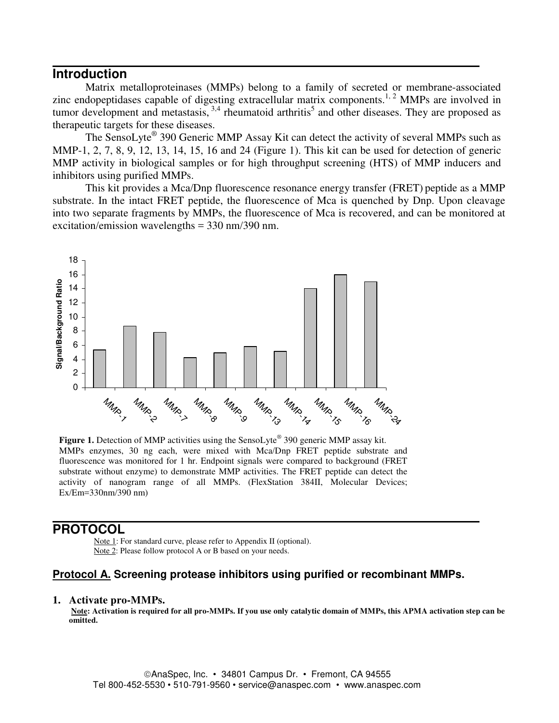### **Introduction**

Matrix metalloproteinases (MMPs) belong to a family of secreted or membrane-associated zinc endopeptidases capable of digesting extracellular matrix components.<sup>1, 2</sup> MMPs are involved in tumor development and metastasis,  $3,4$  rheumatoid arthritis<sup>5</sup> and other diseases. They are proposed as therapeutic targets for these diseases.

The SensoLyte® 390 Generic MMP Assay Kit can detect the activity of several MMPs such as MMP-1, 2, 7, 8, 9, 12, 13, 14, 15, 16 and 24 (Figure 1). This kit can be used for detection of generic MMP activity in biological samples or for high throughput screening (HTS) of MMP inducers and inhibitors using purified MMPs.

This kit provides a Mca/Dnp fluorescence resonance energy transfer (FRET) peptide as a MMP substrate. In the intact FRET peptide, the fluorescence of Mca is quenched by Dnp. Upon cleavage into two separate fragments by MMPs, the fluorescence of Mca is recovered, and can be monitored at excitation/emission wavelengths = 330 nm/390 nm.



Figure 1. Detection of MMP activities using the SensoLyte® 390 generic MMP assay kit. MMPs enzymes, 30 ng each, were mixed with Mca/Dnp FRET peptide substrate and fluorescence was monitored for 1 hr. Endpoint signals were compared to background (FRET substrate without enzyme) to demonstrate MMP activities. The FRET peptide can detect the activity of nanogram range of all MMPs. (FlexStation 384II, Molecular Devices; Ex/Em=330nm/390 nm)

### **PROTOCOL**

Note 1: For standard curve, please refer to Appendix II (optional). Note 2: Please follow protocol A or B based on your needs.

### **Protocol A. Screening protease inhibitors using purified or recombinant MMPs.**

#### **1. Activate pro-MMPs.**

 **Note: Activation is required for all pro-MMPs. If you use only catalytic domain of MMPs, this APMA activation step can be omitted.**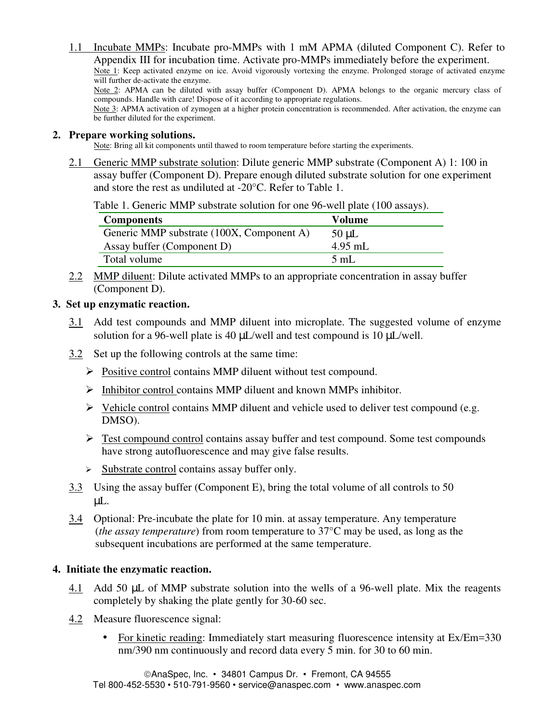1.1 Incubate MMPs: Incubate pro-MMPs with 1 mM APMA (diluted Component C). Refer to Appendix III for incubation time. Activate pro-MMPs immediately before the experiment. Note 1: Keep activated enzyme on ice. Avoid vigorously vortexing the enzyme. Prolonged storage of activated enzyme will further de-activate the enzyme. Note 2: APMA can be diluted with assay buffer (Component D). APMA belongs to the organic mercury class of compounds. Handle with care! Dispose of it according to appropriate regulations. Note 3: APMA activation of zymogen at a higher protein concentration is recommended. After activation, the enzyme can be further diluted for the experiment.

#### **2. Prepare working solutions.**

Note: Bring all kit components until thawed to room temperature before starting the experiments.

2.1 Generic MMP substrate solution: Dilute generic MMP substrate (Component A) 1: 100 in assay buffer (Component D). Prepare enough diluted substrate solution for one experiment and store the rest as undiluted at -20°C. Refer to Table 1.

Table 1. Generic MMP substrate solution for one 96-well plate (100 assays).

| <b>Components</b>                         | Volume         |
|-------------------------------------------|----------------|
| Generic MMP substrate (100X, Component A) | $50 \mu L$     |
| Assay buffer (Component D)                | $4.95$ mL      |
| Total volume                              | $5 \text{ mL}$ |

2.2 MMP diluent: Dilute activated MMPs to an appropriate concentration in assay buffer (Component D).

#### **3. Set up enzymatic reaction.**

- 3.1 Add test compounds and MMP diluent into microplate. The suggested volume of enzyme solution for a 96-well plate is 40  $\mu$ L/well and test compound is 10  $\mu$ L/well.
- 3.2 Set up the following controls at the same time:
	- $\triangleright$  Positive control contains MMP diluent without test compound.
	- $\triangleright$  Inhibitor control contains MMP diluent and known MMPs inhibitor.
	- $\triangleright$  Vehicle control contains MMP diluent and vehicle used to deliver test compound (e.g. DMSO).
	- $\triangleright$  Test compound control contains assay buffer and test compound. Some test compounds have strong autofluorescence and may give false results.
	- $\triangleright$  Substrate control contains assay buffer only.
- 3.3 Using the assay buffer (Component E), bring the total volume of all controls to 50 µL.
- 3.4 Optional: Pre-incubate the plate for 10 min. at assay temperature. Any temperature (*the assay temperature*) from room temperature to 37°C may be used, as long as the subsequent incubations are performed at the same temperature.

#### **4. Initiate the enzymatic reaction.**

- 4.1 Add 50 µL of MMP substrate solution into the wells of a 96-well plate. Mix the reagents completely by shaking the plate gently for 30-60 sec.
- 4.2 Measure fluorescence signal:
	- For kinetic reading: Immediately start measuring fluorescence intensity at Ex/Em=330 nm/390 nm continuously and record data every 5 min. for 30 to 60 min.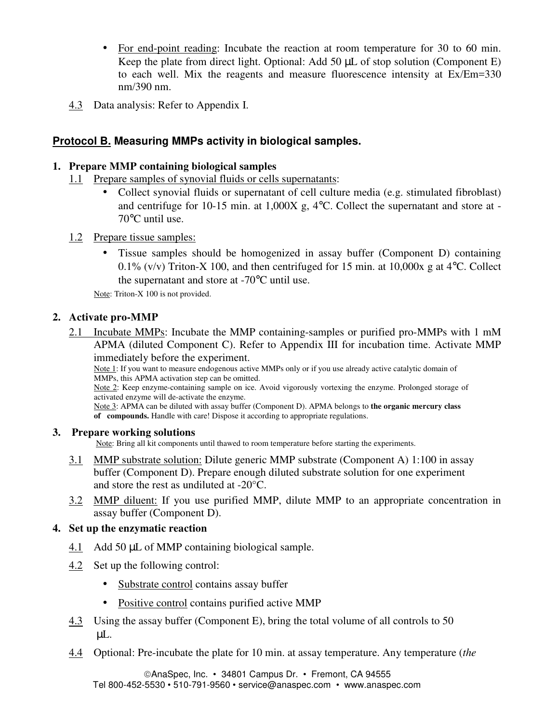- For end-point reading: Incubate the reaction at room temperature for 30 to 60 min. Keep the plate from direct light. Optional: Add 50  $\mu$ L of stop solution (Component E) to each well. Mix the reagents and measure fluorescence intensity at Ex/Em=330 nm/390 nm.
- 4.3 Data analysis: Refer to Appendix I.

### **Protocol B. Measuring MMPs activity in biological samples.**

### **1. Prepare MMP containing biological samples**

- 1.1 Prepare samples of synovial fluids or cells supernatants:
	- Collect synovial fluids or supernatant of cell culture media (e.g. stimulated fibroblast) and centrifuge for 10-15 min. at 1,000X g, 4°C. Collect the supernatant and store at - 70°C until use.
- 1.2 Prepare tissue samples:
	- Tissue samples should be homogenized in assay buffer (Component D) containing 0.1% (v/v) Triton-X 100, and then centrifuged for 15 min. at 10,000x g at  $4^{\circ}$ C. Collect the supernatant and store at -70°C until use.

Note: Triton-X 100 is not provided.

### **2. Activate pro-MMP**

2.1 Incubate MMPs: Incubate the MMP containing-samples or purified pro-MMPs with 1 mM APMA (diluted Component C). Refer to Appendix III for incubation time. Activate MMP immediately before the experiment.

Note 1: If you want to measure endogenous active MMPs only or if you use already active catalytic domain of MMPs, this APMA activation step can be omitted.

Note 2: Keep enzyme-containing sample on ice. Avoid vigorously vortexing the enzyme. Prolonged storage of activated enzyme will de-activate the enzyme.

Note 3: APMA can be diluted with assay buffer (Component D). APMA belongs to **the organic mercury class of compounds.** Handle with care! Dispose it according to appropriate regulations.

### **3. Prepare working solutions**

Note: Bring all kit components until thawed to room temperature before starting the experiments.

- 3.1 MMP substrate solution: Dilute generic MMP substrate (Component A) 1:100 in assay buffer (Component D). Prepare enough diluted substrate solution for one experiment and store the rest as undiluted at -20°C.
- 3.2 MMP diluent: If you use purified MMP, dilute MMP to an appropriate concentration in assay buffer (Component D).

### **4. Set up the enzymatic reaction**

- 4.1 Add 50 µL of MMP containing biological sample.
- 4.2 Set up the following control:
	- Substrate control contains assay buffer
	- Positive control contains purified active MMP
- 4.3 Using the assay buffer (Component E), bring the total volume of all controls to 50 µL.
- 4.4 Optional: Pre-incubate the plate for 10 min. at assay temperature. Any temperature (*the*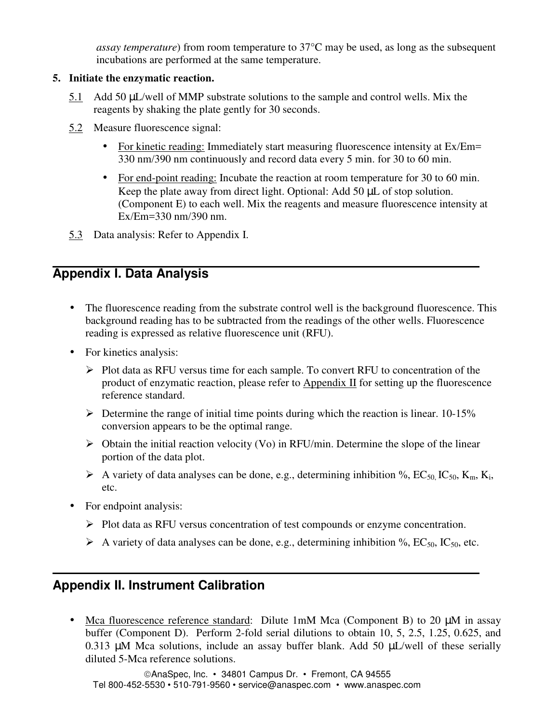*assay temperature*) from room temperature to 37°C may be used, as long as the subsequent incubations are performed at the same temperature.

### **5. Initiate the enzymatic reaction.**

- 5.1 Add 50 µL/well of MMP substrate solutions to the sample and control wells. Mix the reagents by shaking the plate gently for 30 seconds.
- 5.2 Measure fluorescence signal:
	- For kinetic reading: Immediately start measuring fluorescence intensity at Ex/Em= 330 nm/390 nm continuously and record data every 5 min. for 30 to 60 min.
	- For end-point reading: Incubate the reaction at room temperature for 30 to 60 min. Keep the plate away from direct light. Optional: Add 50 µL of stop solution. (Component E) to each well. Mix the reagents and measure fluorescence intensity at Ex/Em=330 nm/390 nm.
- 5.3 Data analysis: Refer to Appendix I.

# **Appendix I. Data Analysis**

- The fluorescence reading from the substrate control well is the background fluorescence. This background reading has to be subtracted from the readings of the other wells. Fluorescence reading is expressed as relative fluorescence unit (RFU).
- For kinetics analysis:
	- $\triangleright$  Plot data as RFU versus time for each sample. To convert RFU to concentration of the product of enzymatic reaction, please refer to Appendix II for setting up the fluorescence reference standard.
	- $\triangleright$  Determine the range of initial time points during which the reaction is linear. 10-15% conversion appears to be the optimal range.
	- $\triangleright$  Obtain the initial reaction velocity (Vo) in RFU/min. Determine the slope of the linear portion of the data plot.
	- A variety of data analyses can be done, e.g., determining inhibition %,  $EC_{50}$ ,  $IC_{50}$ ,  $K_m$ ,  $K_i$ , etc.
- For endpoint analysis:
	- $\triangleright$  Plot data as RFU versus concentration of test compounds or enzyme concentration.
	- A variety of data analyses can be done, e.g., determining inhibition %, EC<sub>50</sub>, IC<sub>50</sub>, etc.

# **Appendix II. Instrument Calibration**

• Mca fluorescence reference standard: Dilute 1mM Mca (Component B) to 20  $\mu$ M in assay buffer (Component D). Perform 2-fold serial dilutions to obtain 10, 5, 2.5, 1.25, 0.625, and 0.313  $\mu$ M Mca solutions, include an assay buffer blank. Add 50  $\mu$ L/well of these serially diluted 5-Mca reference solutions.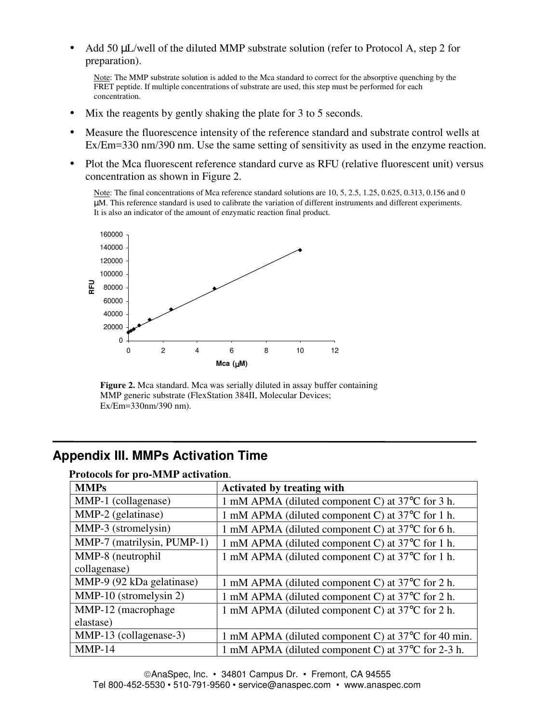Add 50  $\mu$ L/well of the diluted MMP substrate solution (refer to Protocol A, step 2 for preparation).

Note: The MMP substrate solution is added to the Mca standard to correct for the absorptive quenching by the FRET peptide. If multiple concentrations of substrate are used, this step must be performed for each concentration.

- Mix the reagents by gently shaking the plate for 3 to 5 seconds.
- Measure the fluorescence intensity of the reference standard and substrate control wells at Ex/Em=330 nm/390 nm. Use the same setting of sensitivity as used in the enzyme reaction.
- Plot the Mca fluorescent reference standard curve as RFU (relative fluorescent unit) versus concentration as shown in Figure 2.

Note: The final concentrations of Mca reference standard solutions are 10, 5, 2.5, 1.25, 0.625, 0.313, 0.156 and 0 µM. This reference standard is used to calibrate the variation of different instruments and different experiments. It is also an indicator of the amount of enzymatic reaction final product.



**Figure 2.** Mca standard. Mca was serially diluted in assay buffer containing MMP generic substrate (FlexStation 384II, Molecular Devices; Ex/Em=330nm/390 nm).

# **Appendix III. MMPs Activation Time**

| I TOROCOIS TOT PTO-IVIIVIT ACHVARIOII. |                                                                  |  |  |
|----------------------------------------|------------------------------------------------------------------|--|--|
| <b>MMPs</b>                            | <b>Activated by treating with</b>                                |  |  |
| MMP-1 (collagenase)                    | 1 mM APMA (diluted component C) at 37°C for 3 h.                 |  |  |
| MMP-2 (gelatinase)                     | 1 mM APMA (diluted component C) at 37°C for 1 h.                 |  |  |
| MMP-3 (stromelysin)                    | 1 mM APMA (diluted component C) at 37 <sup>o</sup> C for 6 h.    |  |  |
| MMP-7 (matrilysin, PUMP-1)             | 1 mM APMA (diluted component C) at 37 <sup>o</sup> C for 1 h.    |  |  |
| MMP-8 (neutrophil)                     | 1 mM APMA (diluted component C) at 37°C for 1 h.                 |  |  |
| collagenase)                           |                                                                  |  |  |
| MMP-9 (92 kDa gelatinase)              | 1 mM APMA (diluted component C) at 37 <sup>o</sup> C for 2 h.    |  |  |
| MMP-10 (stromelysin 2)                 | 1 mM APMA (diluted component C) at 37 <sup>o</sup> C for 2 h.    |  |  |
| MMP-12 (macrophage                     | 1 mM APMA (diluted component C) at 37 <sup>o</sup> C for 2 h.    |  |  |
| elastase)                              |                                                                  |  |  |
| MMP-13 (collagenase-3)                 | 1 mM APMA (diluted component C) at 37 <sup>o</sup> C for 40 min. |  |  |
| $MMP-14$                               | 1 mM APMA (diluted component C) at 37 <sup>o</sup> C for 2-3 h.  |  |  |

#### **Protocols for pro-MMP activation**.